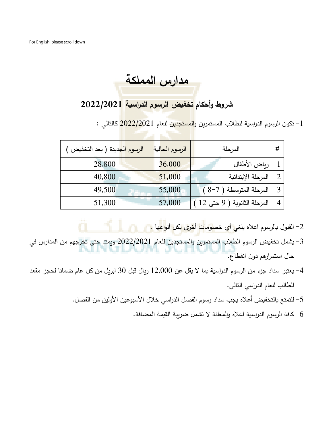**مدارس المملكة** 

## **شروط وأحكام تخفيض الرسوم الدراسية /2021 2022**

-1 تكون الرسوم الدراسية للطلاب المستمرين و<mark>المستجدين للعا</mark>م 20<mark>22/2021 كالتال</mark>ي :

| الرسوم الجديدة ( بعد التخفيض | الرسوم الحالية | المرحلة                     | # |
|------------------------------|----------------|-----------------------------|---|
| 28,800                       | 36,000         | رباض الأطفال                |   |
| 40,800                       | 51,000         | المرحلة الإبتدائية          |   |
| 49,500                       | 55,000         | المرحلة المتوسطة (7-8)      |   |
| 51,300                       | 57,000         | المرحلة الثانوية ( 9 حتى 12 |   |

- -2 القبول بالرسوم اعاله يلغي أي خصومات أخرى بكل أنواعها .
- -3 يشمل تخفيض الرسوم الطالب المستمرين والمستجدين للعام 2022/2021 ويمتد حتى تخرجهم من المدارس في حال استمرارهم دون انقطاع.
- -4 يعتبر سداد جزء من الرسوم الدراسية بما ال يقل عن 12,000 ريال قبل 30 ابريل من كل عام ضمانا لحجز مقعد للطالب للعام الدراسي التالي .
	- 5– للتمتع بالتخفيض أعلاه يجب سداد رسوم الفصل الدراسي خلال الأسبوعين الأولين من الفصل.
		- كافة الرسوم الدراسية اعلاه والمعلنة لا تشمل ضرببة القيمة المضافة. $\rm 6$